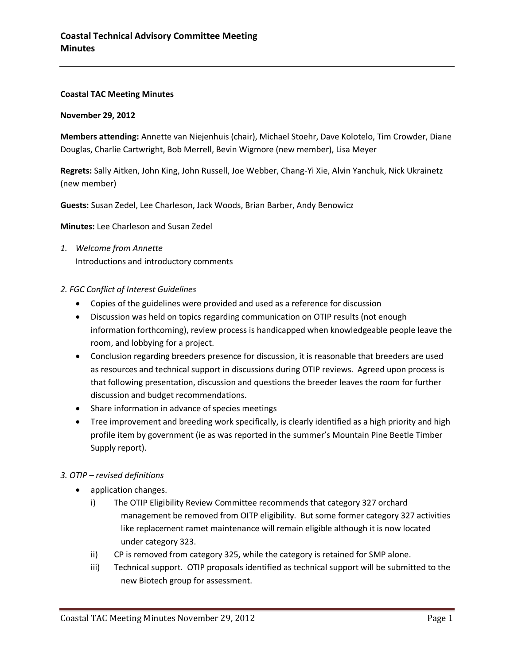## **Coastal TAC Meeting Minutes**

#### **November 29, 2012**

**Members attending:** Annette van Niejenhuis (chair), Michael Stoehr, Dave Kolotelo, Tim Crowder, Diane Douglas, Charlie Cartwright, Bob Merrell, Bevin Wigmore (new member), Lisa Meyer

**Regrets:** Sally Aitken, John King, John Russell, Joe Webber, Chang-Yi Xie, Alvin Yanchuk, Nick Ukrainetz (new member)

**Guests:** Susan Zedel, Lee Charleson, Jack Woods, Brian Barber, Andy Benowicz

**Minutes:** Lee Charleson and Susan Zedel

- *1. Welcome from Annette* Introductions and introductory comments
- *2. FGC Conflict of Interest Guidelines*
	- Copies of the guidelines were provided and used as a reference for discussion
	- Discussion was held on topics regarding communication on OTIP results (not enough information forthcoming), review process is handicapped when knowledgeable people leave the room, and lobbying for a project.
	- Conclusion regarding breeders presence for discussion, it is reasonable that breeders are used as resources and technical support in discussions during OTIP reviews. Agreed upon process is that following presentation, discussion and questions the breeder leaves the room for further discussion and budget recommendations.
	- Share information in advance of species meetings
	- Tree improvement and breeding work specifically, is clearly identified as a high priority and high profile item by government (ie as was reported in the summer's Mountain Pine Beetle Timber Supply report).

## *3. OTIP – revised definitions*

- application changes.
	- i) The OTIP Eligibility Review Committee recommends that category 327 orchard management be removed from OITP eligibility. But some former category 327 activities like replacement ramet maintenance will remain eligible although it is now located under category 323.
	- ii) CP is removed from category 325, while the category is retained for SMP alone.
	- iii) Technical support. OTIP proposals identified as technical support will be submitted to the new Biotech group for assessment.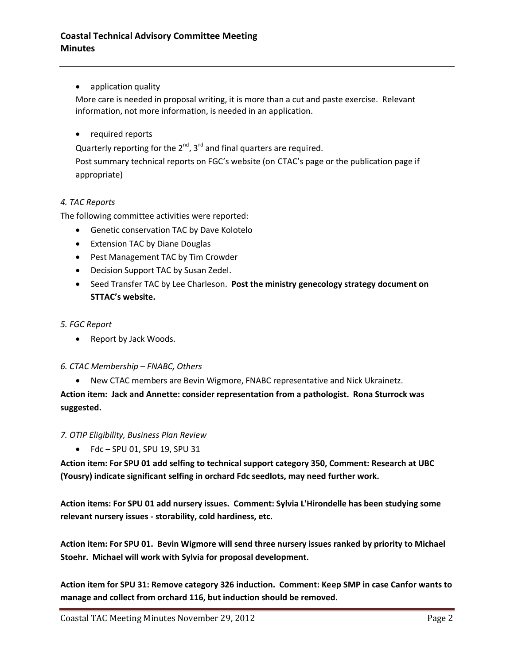## • application quality

More care is needed in proposal writing, it is more than a cut and paste exercise. Relevant information, not more information, is needed in an application.

• required reports

Quarterly reporting for the  $2^{nd}$ ,  $3^{rd}$  and final quarters are required.

Post summary technical reports on FGC's website (on CTAC's page or the publication page if appropriate)

## *4. TAC Reports*

The following committee activities were reported:

- Genetic conservation TAC by Dave Kolotelo
- Extension TAC by Diane Douglas
- Pest Management TAC by Tim Crowder
- Decision Support TAC by Susan Zedel.
- Seed Transfer TAC by Lee Charleson. **Post the ministry genecology strategy document on STTAC's website.**

## *5. FGC Report*

• Report by Jack Woods.

## *6. CTAC Membership – FNABC, Others*

New CTAC members are Bevin Wigmore, FNABC representative and Nick Ukrainetz.

**Action item: Jack and Annette: consider representation from a pathologist. Rona Sturrock was suggested.** 

#### *7. OTIP Eligibility, Business Plan Review*

 $\bullet$  Fdc – SPU 01, SPU 19, SPU 31

**Action item: For SPU 01 add selfing to technical support category 350, Comment: Research at UBC (Yousry) indicate significant selfing in orchard Fdc seedlots, may need further work.**

**Action items: For SPU 01 add nursery issues. Comment: Sylvia L'Hirondelle has been studying some relevant nursery issues - storability, cold hardiness, etc.**

**Action item: For SPU 01. Bevin Wigmore will send three nursery issues ranked by priority to Michael Stoehr. Michael will work with Sylvia for proposal development.** 

**Action item for SPU 31: Remove category 326 induction. Comment: Keep SMP in case Canfor wants to manage and collect from orchard 116, but induction should be removed.**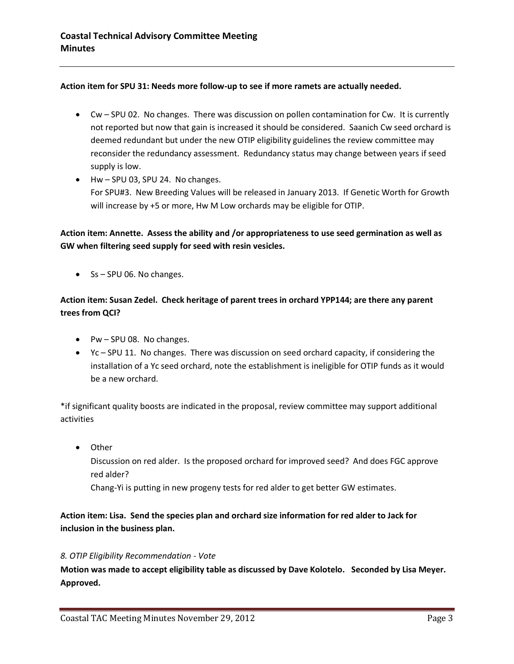## **Action item for SPU 31: Needs more follow-up to see if more ramets are actually needed.**

- Cw SPU 02. No changes. There was discussion on pollen contamination for Cw. It is currently not reported but now that gain is increased it should be considered. Saanich Cw seed orchard is deemed redundant but under the new OTIP eligibility guidelines the review committee may reconsider the redundancy assessment. Redundancy status may change between years if seed supply is low.
- Hw SPU 03, SPU 24. No changes. For SPU#3. New Breeding Values will be released in January 2013. If Genetic Worth for Growth will increase by +5 or more, Hw M Low orchards may be eligible for OTIP.

**Action item: Annette. Assess the ability and /or appropriateness to use seed germination as well as GW when filtering seed supply for seed with resin vesicles.** 

 $\bullet$  Ss – SPU 06. No changes.

# **Action item: Susan Zedel. Check heritage of parent trees in orchard YPP144; are there any parent trees from QCI?**

- $\bullet$  Pw SPU 08. No changes.
- Yc SPU 11. No changes. There was discussion on seed orchard capacity, if considering the installation of a Yc seed orchard, note the establishment is ineligible for OTIP funds as it would be a new orchard.

\*if significant quality boosts are indicated in the proposal, review committee may support additional activities

• Other

Discussion on red alder. Is the proposed orchard for improved seed? And does FGC approve red alder?

Chang-Yi is putting in new progeny tests for red alder to get better GW estimates.

## **Action item: Lisa. Send the species plan and orchard size information for red alder to Jack for inclusion in the business plan.**

## *8. OTIP Eligibility Recommendation - Vote*

**Motion was made to accept eligibility table as discussed by Dave Kolotelo. Seconded by Lisa Meyer. Approved.**